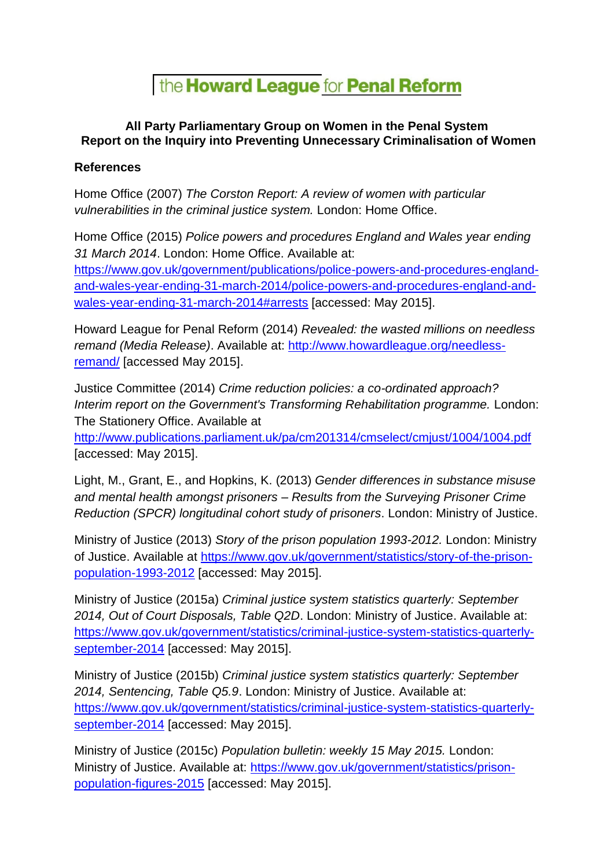## the **Howard League** for **Penal Reform**

## **All Party Parliamentary Group on Women in the Penal System Report on the Inquiry into Preventing Unnecessary Criminalisation of Women**

## **References**

Home Office (2007) *The Corston Report: A review of women with particular vulnerabilities in the criminal justice system.* London: Home Office.

Home Office (2015) *Police powers and procedures England and Wales year ending 31 March 2014*. London: Home Office. Available at:

[https://www.gov.uk/government/publications/police-powers-and-procedures-england](https://www.gov.uk/government/publications/police-powers-and-procedures-england-and-wales-year-ending-31-march-2014/police-powers-and-procedures-england-and-wales-year-ending-31-march-2014#arrests)[and-wales-year-ending-31-march-2014/police-powers-and-procedures-england-and](https://www.gov.uk/government/publications/police-powers-and-procedures-england-and-wales-year-ending-31-march-2014/police-powers-and-procedures-england-and-wales-year-ending-31-march-2014#arrests)[wales-year-ending-31-march-2014#arrests](https://www.gov.uk/government/publications/police-powers-and-procedures-england-and-wales-year-ending-31-march-2014/police-powers-and-procedures-england-and-wales-year-ending-31-march-2014#arrests) [accessed: May 2015].

Howard League for Penal Reform (2014) *Revealed: the wasted millions on needless remand (Media Release)*. Available at: [http://www.howardleague.org/needless](http://www.howardleague.org/needless-remand/)[remand/](http://www.howardleague.org/needless-remand/) [accessed May 2015].

Justice Committee (2014) *Crime reduction policies: a co-ordinated approach? Interim report on the Government's Transforming Rehabilitation programme.* London: The Stationery Office. Available at

<http://www.publications.parliament.uk/pa/cm201314/cmselect/cmjust/1004/1004.pdf> [accessed: May 2015].

Light, M., Grant, E., and Hopkins, K. (2013) *Gender differences in substance misuse and mental health amongst prisoners – Results from the Surveying Prisoner Crime Reduction (SPCR) longitudinal cohort study of prisoners*. London: Ministry of Justice.

Ministry of Justice (2013) *Story of the prison population 1993-2012.* London: Ministry of Justice. Available at [https://www.gov.uk/government/statistics/story-of-the-prison](https://www.gov.uk/government/statistics/story-of-the-prison-population-1993-2012)[population-1993-2012](https://www.gov.uk/government/statistics/story-of-the-prison-population-1993-2012) [accessed: May 2015].

Ministry of Justice (2015a) *Criminal justice system statistics quarterly: September 2014, Out of Court Disposals, Table Q2D*. London: Ministry of Justice. Available at: [https://www.gov.uk/government/statistics/criminal-justice-system-statistics-quarterly](https://www.gov.uk/government/statistics/criminal-justice-system-statistics-quarterly-september-2014)[september-2014](https://www.gov.uk/government/statistics/criminal-justice-system-statistics-quarterly-september-2014) [accessed: May 2015].

Ministry of Justice (2015b) *Criminal justice system statistics quarterly: September 2014, Sentencing, Table Q5.9*. London: Ministry of Justice. Available at: [https://www.gov.uk/government/statistics/criminal-justice-system-statistics-quarterly](https://www.gov.uk/government/statistics/criminal-justice-system-statistics-quarterly-september-2014)[september-2014](https://www.gov.uk/government/statistics/criminal-justice-system-statistics-quarterly-september-2014) [accessed: May 2015].

Ministry of Justice (2015c) *Population bulletin: weekly 15 May 2015.* London: Ministry of Justice. Available at: [https://www.gov.uk/government/statistics/prison](https://www.gov.uk/government/statistics/prison-population-figures-2015)[population-figures-2015](https://www.gov.uk/government/statistics/prison-population-figures-2015) [accessed: May 2015].